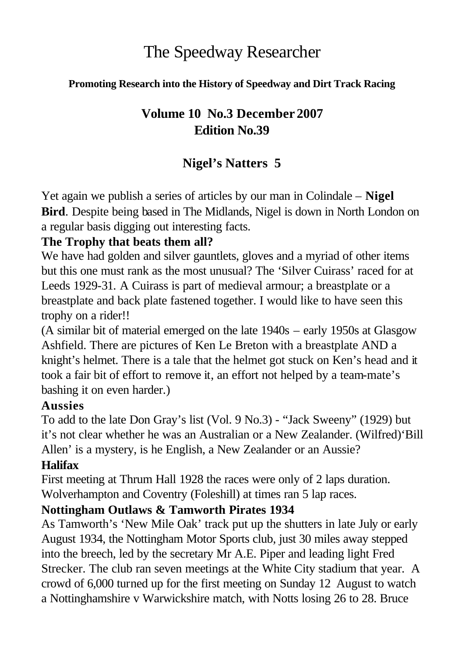# The Speedway Researcher

#### **Promoting Research into the History of Speedway and Dirt Track Racing**

### **Volume 10 No.3 December 2007 Edition No.39**

## **Nigel's Natters 5**

Yet again we publish a series of articles by our man in Colindale – **Nigel Bird**. Despite being based in The Midlands, Nigel is down in North London on a regular basis digging out interesting facts.

#### **The Trophy that beats them all?**

We have had golden and silver gauntlets, gloves and a myriad of other items but this one must rank as the most unusual? The 'Silver Cuirass' raced for at Leeds 1929-31. A Cuirass is part of medieval armour; a breastplate or a breastplate and back plate fastened together. I would like to have seen this trophy on a rider!!

(A similar bit of material emerged on the late 1940s – early 1950s at Glasgow Ashfield. There are pictures of Ken Le Breton with a breastplate AND a knight's helmet. There is a tale that the helmet got stuck on Ken's head and it took a fair bit of effort to remove it, an effort not helped by a team-mate's bashing it on even harder.)

#### **Aussies**

To add to the late Don Gray's list (Vol. 9 No.3) - "Jack Sweeny" (1929) but it's not clear whether he was an Australian or a New Zealander. (Wilfred)'Bill Allen' is a mystery, is he English, a New Zealander or an Aussie?

#### **Halifax**

First meeting at Thrum Hall 1928 the races were only of 2 laps duration. Wolverhampton and Coventry (Foleshill) at times ran 5 lap races.

#### **Nottingham Outlaws & Tamworth Pirates 1934**

As Tamworth's 'New Mile Oak' track put up the shutters in late July or early August 1934, the Nottingham Motor Sports club, just 30 miles away stepped into the breech, led by the secretary Mr A.E. Piper and leading light Fred Strecker. The club ran seven meetings at the White City stadium that year. A crowd of 6,000 turned up for the first meeting on Sunday 12 August to watch a Nottinghamshire v Warwickshire match, with Notts losing 26 to 28. Bruce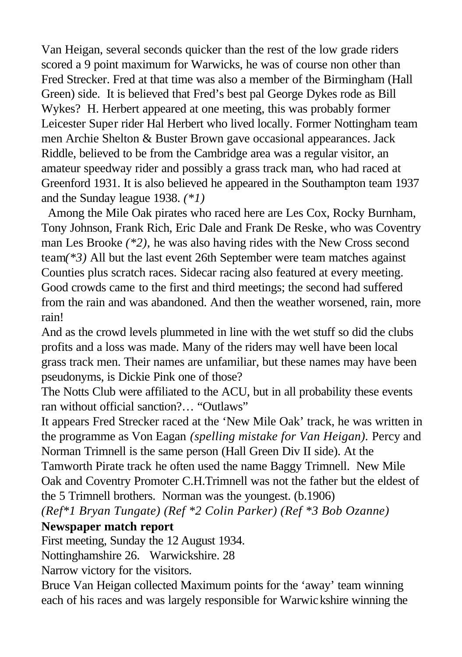Van Heigan, several seconds quicker than the rest of the low grade riders scored a 9 point maximum for Warwicks, he was of course non other than Fred Strecker. Fred at that time was also a member of the Birmingham (Hall Green) side. It is believed that Fred's best pal George Dykes rode as Bill Wykes? H. Herbert appeared at one meeting, this was probably former Leicester Super rider Hal Herbert who lived locally. Former Nottingham team men Archie Shelton & Buster Brown gave occasional appearances. Jack Riddle, believed to be from the Cambridge area was a regular visitor, an amateur speedway rider and possibly a grass track man, who had raced at Greenford 1931. It is also believed he appeared in the Southampton team 1937 and the Sunday league 1938. *(\*1)*

 Among the Mile Oak pirates who raced here are Les Cox, Rocky Burnham, Tony Johnson, Frank Rich, Eric Dale and Frank De Reske, who was Coventry man Les Brooke *(\*2),* he was also having rides with the New Cross second team*(\*3)* All but the last event 26th September were team matches against Counties plus scratch races. Sidecar racing also featured at every meeting. Good crowds came to the first and third meetings; the second had suffered from the rain and was abandoned. And then the weather worsened, rain, more rain!

And as the crowd levels plummeted in line with the wet stuff so did the clubs profits and a loss was made. Many of the riders may well have been local grass track men. Their names are unfamiliar, but these names may have been pseudonyms, is Dickie Pink one of those?

The Notts Club were affiliated to the ACU, but in all probability these events ran without official sanction?… "Outlaws"

It appears Fred Strecker raced at the 'New Mile Oak' track, he was written in the programme as Von Eagan *(spelling mistake for Van Heigan).* Percy and Norman Trimnell is the same person (Hall Green Div II side). At the

Tamworth Pirate track he often used the name Baggy Trimnell. New Mile Oak and Coventry Promoter C.H.Trimnell was not the father but the eldest of the 5 Trimnell brothers. Norman was the youngest. (b.1906)

*(Ref\*1 Bryan Tungate) (Ref \*2 Colin Parker) (Ref \*3 Bob Ozanne)*

#### **Newspaper match report**

First meeting, Sunday the 12 August 1934.

Nottinghamshire 26. Warwickshire. 28

Narrow victory for the visitors.

Bruce Van Heigan collected Maximum points for the 'away' team winning each of his races and was largely responsible for Warwickshire winning the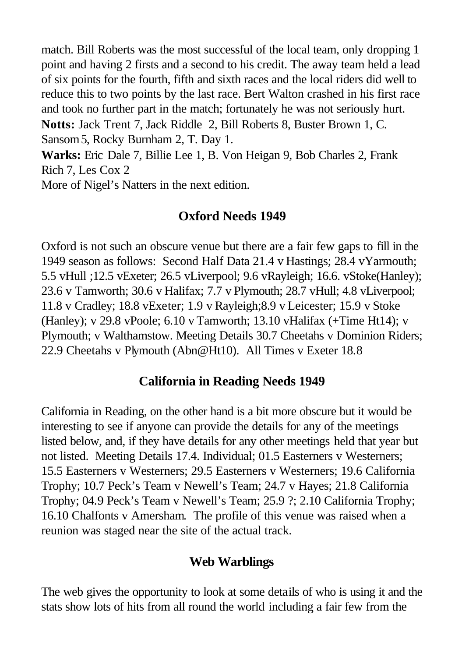match. Bill Roberts was the most successful of the local team, only dropping 1 point and having 2 firsts and a second to his credit. The away team held a lead of six points for the fourth, fifth and sixth races and the local riders did well to reduce this to two points by the last race. Bert Walton crashed in his first race and took no further part in the match; fortunately he was not seriously hurt. **Notts:** Jack Trent 7, Jack Riddle 2, Bill Roberts 8, Buster Brown 1, C. Sansom5, Rocky Burnham 2, T. Day 1.

**Warks:** Eric Dale 7, Billie Lee 1, B. Von Heigan 9, Bob Charles 2, Frank Rich 7, Les Cox 2

More of Nigel's Natters in the next edition.

### **Oxford Needs 1949**

Oxford is not such an obscure venue but there are a fair few gaps to fill in the 1949 season as follows: Second Half Data 21.4 v Hastings; 28.4 vYarmouth; 5.5 vHull ;12.5 vExeter; 26.5 vLiverpool; 9.6 vRayleigh; 16.6. vStoke(Hanley); 23.6 v Tamworth; 30.6 v Halifax; 7.7 v Plymouth; 28.7 vHull; 4.8 vLiverpool; 11.8 v Cradley; 18.8 vExeter; 1.9 v Rayleigh;8.9 v Leicester; 15.9 v Stoke (Hanley); v 29.8 vPoole; 6.10 v Tamworth; 13.10 vHalifax (+Time Ht14); v Plymouth; v Walthamstow. Meeting Details 30.7 Cheetahs v Dominion Riders; 22.9 Cheetahs v Plymouth (Abn@Ht10). All Times v Exeter 18.8

### **California in Reading Needs 1949**

California in Reading, on the other hand is a bit more obscure but it would be interesting to see if anyone can provide the details for any of the meetings listed below, and, if they have details for any other meetings held that year but not listed. Meeting Details 17.4. Individual; 01.5 Easterners v Westerners; 15.5 Easterners v Westerners; 29.5 Easterners v Westerners; 19.6 California Trophy; 10.7 Peck's Team v Newell's Team; 24.7 v Hayes; 21.8 California Trophy; 04.9 Peck's Team v Newell's Team; 25.9 ?; 2.10 California Trophy; 16.10 Chalfonts v Amersham. The profile of this venue was raised when a reunion was staged near the site of the actual track.

### **Web Warblings**

The web gives the opportunity to look at some details of who is using it and the stats show lots of hits from all round the world including a fair few from the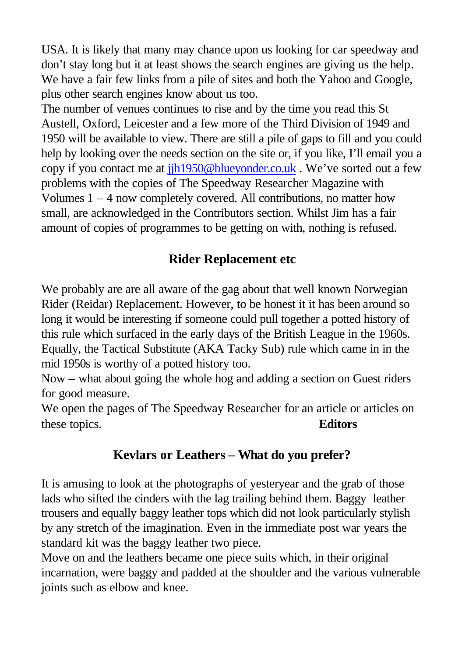USA. It is likely that many may chance upon us looking for car speedway and don't stay long but it at least shows the search engines are giving us the help. We have a fair few links from a pile of sites and both the Yahoo and Google, plus other search engines know about us too.

The number of venues continues to rise and by the time you read this St Austell, Oxford, Leicester and a few more of the Third Division of 1949 and 1950 will be available to view. There are still a pile of gaps to fill and you could help by looking over the needs section on the site or, if you like, I'll email you a copy if you contact me at jjh1950@blueyonder.co.uk . We've sorted out a few problems with the copies of The Speedway Researcher Magazine with Volumes 1 – 4 now completely covered. All contributions, no matter how small, are acknowledged in the Contributors section. Whilst Jim has a fair amount of copies of programmes to be getting on with, nothing is refused.

### **Rider Replacement etc**

We probably are are all aware of the gag about that well known Norwegian Rider (Reidar) Replacement. However, to be honest it it has been around so long it would be interesting if someone could pull together a potted history of this rule which surfaced in the early days of the British League in the 1960s. Equally, the Tactical Substitute (AKA Tacky Sub) rule which came in in the mid 1950s is worthy of a potted history too.

Now – what about going the whole hog and adding a section on Guest riders for good measure.

We open the pages of The Speedway Researcher for an article or articles on these topics. **Editors**

### **Kevlars or Leathers – What do you prefer?**

It is amusing to look at the photographs of yesteryear and the grab of those lads who sifted the cinders with the lag trailing behind them. Baggy leather trousers and equally baggy leather tops which did not look particularly stylish by any stretch of the imagination. Even in the immediate post war years the standard kit was the baggy leather two piece.

Move on and the leathers became one piece suits which, in their original incarnation, were baggy and padded at the shoulder and the various vulnerable joints such as elbow and knee.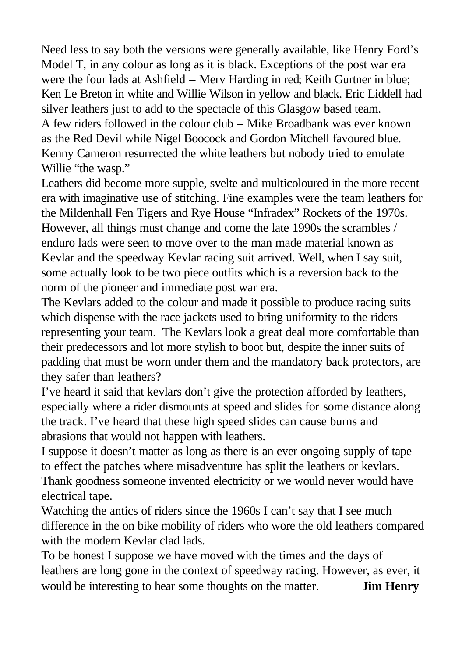Need less to say both the versions were generally available, like Henry Ford's Model T, in any colour as long as it is black. Exceptions of the post war era were the four lads at Ashfield – Merv Harding in red; Keith Gurtner in blue; Ken Le Breton in white and Willie Wilson in yellow and black. Eric Liddell had silver leathers just to add to the spectacle of this Glasgow based team. A few riders followed in the colour club – Mike Broadbank was ever known as the Red Devil while Nigel Boocock and Gordon Mitchell favoured blue. Kenny Cameron resurrected the white leathers but nobody tried to emulate Willie "the wasp."

Leathers did become more supple, svelte and multicoloured in the more recent era with imaginative use of stitching. Fine examples were the team leathers for the Mildenhall Fen Tigers and Rye House "Infradex" Rockets of the 1970s. However, all things must change and come the late 1990s the scrambles / enduro lads were seen to move over to the man made material known as Kevlar and the speedway Kevlar racing suit arrived. Well, when I say suit, some actually look to be two piece outfits which is a reversion back to the norm of the pioneer and immediate post war era.

The Kevlars added to the colour and made it possible to produce racing suits which dispense with the race jackets used to bring uniformity to the riders representing your team. The Kevlars look a great deal more comfortable than their predecessors and lot more stylish to boot but, despite the inner suits of padding that must be worn under them and the mandatory back protectors, are they safer than leathers?

I've heard it said that kevlars don't give the protection afforded by leathers, especially where a rider dismounts at speed and slides for some distance along the track. I've heard that these high speed slides can cause burns and abrasions that would not happen with leathers.

I suppose it doesn't matter as long as there is an ever ongoing supply of tape to effect the patches where misadventure has split the leathers or kevlars. Thank goodness someone invented electricity or we would never would have electrical tape.

Watching the antics of riders since the 1960s I can't say that I see much difference in the on bike mobility of riders who wore the old leathers compared with the modern Keylar clad lads.

To be honest I suppose we have moved with the times and the days of leathers are long gone in the context of speedway racing. However, as ever, it would be interesting to hear some thoughts on the matter. **Jim Henry**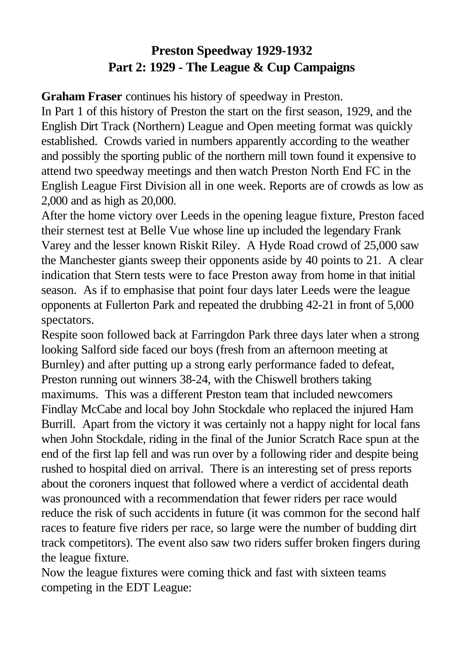## **Preston Speedway 1929-1932 Part 2: 1929 - The League & Cup Campaigns**

**Graham Fraser** continues his history of speedway in Preston.

In Part 1 of this history of Preston the start on the first season, 1929, and the English Dirt Track (Northern) League and Open meeting format was quickly established. Crowds varied in numbers apparently according to the weather and possibly the sporting public of the northern mill town found it expensive to attend two speedway meetings and then watch Preston North End FC in the English League First Division all in one week. Reports are of crowds as low as 2,000 and as high as 20,000.

After the home victory over Leeds in the opening league fixture, Preston faced their sternest test at Belle Vue whose line up included the legendary Frank Varey and the lesser known Riskit Riley. A Hyde Road crowd of 25,000 saw the Manchester giants sweep their opponents aside by 40 points to 21. A clear indication that Stern tests were to face Preston away from home in that initial season. As if to emphasise that point four days later Leeds were the league opponents at Fullerton Park and repeated the drubbing 42-21 in front of 5,000 spectators.

Respite soon followed back at Farringdon Park three days later when a strong looking Salford side faced our boys (fresh from an afternoon meeting at Burnley) and after putting up a strong early performance faded to defeat, Preston running out winners 38-24, with the Chiswell brothers taking maximums. This was a different Preston team that included newcomers Findlay McCabe and local boy John Stockdale who replaced the injured Ham Burrill. Apart from the victory it was certainly not a happy night for local fans when John Stockdale, riding in the final of the Junior Scratch Race spun at the end of the first lap fell and was run over by a following rider and despite being rushed to hospital died on arrival. There is an interesting set of press reports about the coroners inquest that followed where a verdict of accidental death was pronounced with a recommendation that fewer riders per race would reduce the risk of such accidents in future (it was common for the second half races to feature five riders per race, so large were the number of budding dirt track competitors). The event also saw two riders suffer broken fingers during the league fixture.

Now the league fixtures were coming thick and fast with sixteen teams competing in the EDT League: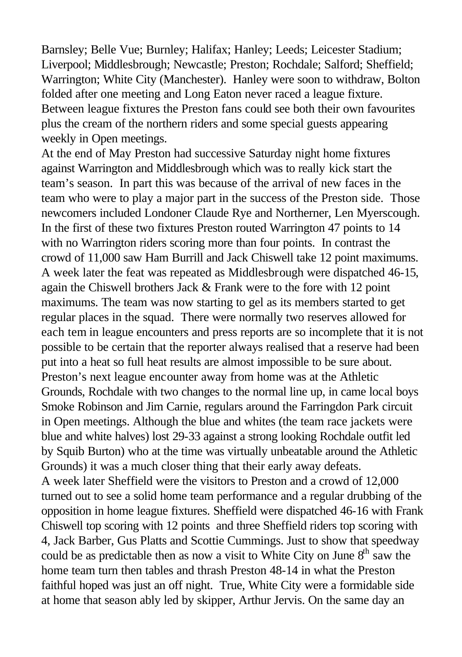Barnsley; Belle Vue; Burnley; Halifax; Hanley; Leeds; Leicester Stadium; Liverpool; Middlesbrough; Newcastle; Preston; Rochdale; Salford; Sheffield; Warrington; White City (Manchester). Hanley were soon to withdraw, Bolton folded after one meeting and Long Eaton never raced a league fixture. Between league fixtures the Preston fans could see both their own favourites plus the cream of the northern riders and some special guests appearing weekly in Open meetings.

At the end of May Preston had successive Saturday night home fixtures against Warrington and Middlesbrough which was to really kick start the team's season. In part this was because of the arrival of new faces in the team who were to play a major part in the success of the Preston side. Those newcomers included Londoner Claude Rye and Northerner, Len Myerscough. In the first of these two fixtures Preston routed Warrington 47 points to 14 with no Warrington riders scoring more than four points. In contrast the crowd of 11,000 saw Ham Burrill and Jack Chiswell take 12 point maximums. A week later the feat was repeated as Middlesbrough were dispatched 46-15, again the Chiswell brothers Jack & Frank were to the fore with 12 point maximums. The team was now starting to gel as its members started to get regular places in the squad. There were normally two reserves allowed for each tem in league encounters and press reports are so incomplete that it is not possible to be certain that the reporter always realised that a reserve had been put into a heat so full heat results are almost impossible to be sure about. Preston's next league encounter away from home was at the Athletic Grounds, Rochdale with two changes to the normal line up, in came local boys Smoke Robinson and Jim Carnie, regulars around the Farringdon Park circuit in Open meetings. Although the blue and whites (the team race jackets were blue and white halves) lost 29-33 against a strong looking Rochdale outfit led by Squib Burton) who at the time was virtually unbeatable around the Athletic Grounds) it was a much closer thing that their early away defeats. A week later Sheffield were the visitors to Preston and a crowd of 12,000

turned out to see a solid home team performance and a regular drubbing of the opposition in home league fixtures. Sheffield were dispatched 46-16 with Frank Chiswell top scoring with 12 points and three Sheffield riders top scoring with 4, Jack Barber, Gus Platts and Scottie Cummings. Just to show that speedway could be as predictable then as now a visit to White City on June  $8<sup>th</sup>$  saw the home team turn then tables and thrash Preston 48-14 in what the Preston faithful hoped was just an off night. True, White City were a formidable side at home that season ably led by skipper, Arthur Jervis. On the same day an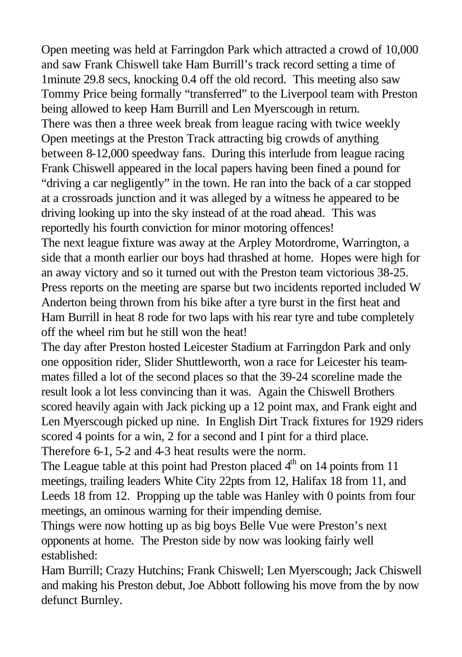Open meeting was held at Farringdon Park which attracted a crowd of 10,000 and saw Frank Chiswell take Ham Burrill's track record setting a time of 1minute 29.8 secs, knocking 0.4 off the old record. This meeting also saw Tommy Price being formally "transferred" to the Liverpool team with Preston being allowed to keep Ham Burrill and Len Myerscough in return. There was then a three week break from league racing with twice weekly Open meetings at the Preston Track attracting big crowds of anything between 8-12,000 speedway fans. During this interlude from league racing Frank Chiswell appeared in the local papers having been fined a pound for "driving a car negligently" in the town. He ran into the back of a car stopped at a crossroads junction and it was alleged by a witness he appeared to be driving looking up into the sky instead of at the road ahead. This was reportedly his fourth conviction for minor motoring offences!

The next league fixture was away at the Arpley Motordrome, Warrington, a side that a month earlier our boys had thrashed at home. Hopes were high for an away victory and so it turned out with the Preston team victorious 38-25. Press reports on the meeting are sparse but two incidents reported included W Anderton being thrown from his bike after a tyre burst in the first heat and Ham Burrill in heat 8 rode for two laps with his rear tyre and tube completely off the wheel rim but he still won the heat!

The day after Preston hosted Leicester Stadium at Farringdon Park and only one opposition rider, Slider Shuttleworth, won a race for Leicester his teammates filled a lot of the second places so that the 39-24 scoreline made the result look a lot less convincing than it was. Again the Chiswell Brothers scored heavily again with Jack picking up a 12 point max, and Frank eight and Len Myerscough picked up nine. In English Dirt Track fixtures for 1929 riders scored 4 points for a win, 2 for a second and I pint for a third place. Therefore 6-1, 5-2 and 4-3 heat results were the norm.

The League table at this point had Preston placed  $4<sup>th</sup>$  on 14 points from 11 meetings, trailing leaders White City 22pts from 12, Halifax 18 from 11, and Leeds 18 from 12. Propping up the table was Hanley with 0 points from four meetings, an ominous warning for their impending demise.

Things were now hotting up as big boys Belle Vue were Preston's next opponents at home. The Preston side by now was looking fairly well established:

Ham Burrill; Crazy Hutchins; Frank Chiswell; Len Myerscough; Jack Chiswell and making his Preston debut, Joe Abbott following his move from the by now defunct Burnley.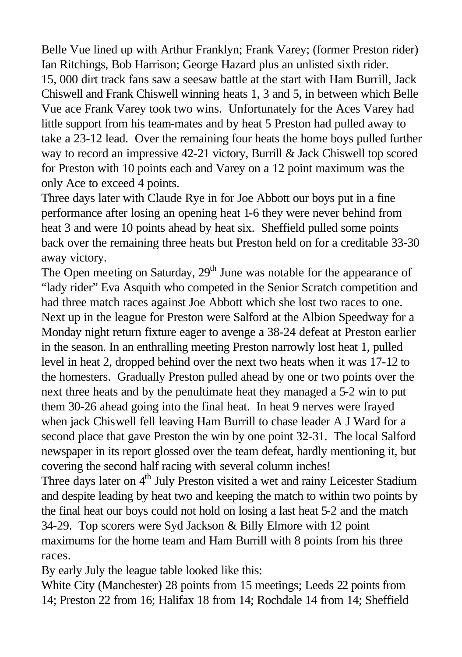Belle Vue lined up with Arthur Franklyn; Frank Varey; (former Preston rider) Ian Ritchings, Bob Harrison; George Hazard plus an unlisted sixth rider. 15, 000 dirt track fans saw a seesaw battle at the start with Ham Burrill, Jack Chiswell and Frank Chiswell winning heats 1, 3 and 5, in between which Belle Vue ace Frank Varey took two wins. Unfortunately for the Aces Varey had little support from his team-mates and by heat 5 Preston had pulled away to take a 23-12 lead. Over the remaining four heats the home boys pulled further way to record an impressive 42-21 victory, Burrill & Jack Chiswell top scored for Preston with 10 points each and Varey on a 12 point maximum was the only Ace to exceed 4 points.

Three days later with Claude Rye in for Joe Abbott our boys put in a fine performance after losing an opening heat 1-6 they were never behind from heat 3 and were 10 points ahead by heat six. Sheffield pulled some points back over the remaining three heats but Preston held on for a creditable 33-30 away victory.

The Open meeting on Saturday,  $29<sup>th</sup>$  June was notable for the appearance of "lady rider" Eva Asquith who competed in the Senior Scratch competition and had three match races against Joe Abbott which she lost two races to one. Next up in the league for Preston were Salford at the Albion Speedway for a Monday night return fixture eager to avenge a 38-24 defeat at Preston earlier in the season. In an enthralling meeting Preston narrowly lost heat 1, pulled level in heat 2, dropped behind over the next two heats when it was 17-12 to the homesters. Gradually Preston pulled ahead by one or two points over the next three heats and by the penultimate heat they managed a 5-2 win to put them 30-26 ahead going into the final heat. In heat 9 nerves were frayed when jack Chiswell fell leaving Ham Burrill to chase leader A J Ward for a second place that gave Preston the win by one point 32-31. The local Salford newspaper in its report glossed over the team defeat, hardly mentioning it, but covering the second half racing with several column inches!

Three days later on 4<sup>th</sup> July Preston visited a wet and rainy Leicester Stadium and despite leading by heat two and keeping the match to within two points by the final heat our boys could not hold on losing a last heat 5-2 and the match 34-29. Top scorers were Syd Jackson & Billy Elmore with 12 point maximums for the home team and Ham Burrill with 8 points from his three races.

By early July the league table looked like this:

White City (Manchester) 28 points from 15 meetings; Leeds 22 points from 14; Preston 22 from 16; Halifax 18 from 14; Rochdale 14 from 14; Sheffield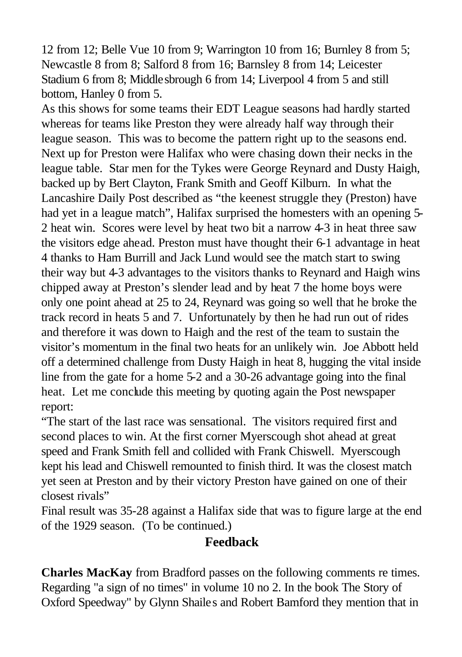12 from 12; Belle Vue 10 from 9; Warrington 10 from 16; Burnley 8 from 5; Newcastle 8 from 8; Salford 8 from 16; Barnsley 8 from 14; Leicester Stadium 6 from 8; Middlesbrough 6 from 14; Liverpool 4 from 5 and still bottom, Hanley 0 from 5.

As this shows for some teams their EDT League seasons had hardly started whereas for teams like Preston they were already half way through their league season. This was to become the pattern right up to the seasons end. Next up for Preston were Halifax who were chasing down their necks in the league table. Star men for the Tykes were George Reynard and Dusty Haigh, backed up by Bert Clayton, Frank Smith and Geoff Kilburn. In what the Lancashire Daily Post described as "the keenest struggle they (Preston) have had yet in a league match", Halifax surprised the homesters with an opening 5- 2 heat win. Scores were level by heat two bit a narrow 4-3 in heat three saw the visitors edge ahead. Preston must have thought their 6-1 advantage in heat 4 thanks to Ham Burrill and Jack Lund would see the match start to swing their way but 4-3 advantages to the visitors thanks to Reynard and Haigh wins chipped away at Preston's slender lead and by heat 7 the home boys were only one point ahead at 25 to 24, Reynard was going so well that he broke the track record in heats 5 and 7. Unfortunately by then he had run out of rides and therefore it was down to Haigh and the rest of the team to sustain the visitor's momentum in the final two heats for an unlikely win. Joe Abbott held off a determined challenge from Dusty Haigh in heat 8, hugging the vital inside line from the gate for a home 5-2 and a 30-26 advantage going into the final heat. Let me conclude this meeting by quoting again the Post newspaper report:

"The start of the last race was sensational. The visitors required first and second places to win. At the first corner Myerscough shot ahead at great speed and Frank Smith fell and collided with Frank Chiswell. Myerscough kept his lead and Chiswell remounted to finish third. It was the closest match yet seen at Preston and by their victory Preston have gained on one of their closest rivals"

Final result was 35-28 against a Halifax side that was to figure large at the end of the 1929 season. (To be continued.)

#### **Feedback**

**Charles MacKay** from Bradford passes on the following comments re times. Regarding "a sign of no times" in volume 10 no 2. In the book The Story of Oxford Speedway" by Glynn Shailes and Robert Bamford they mention that in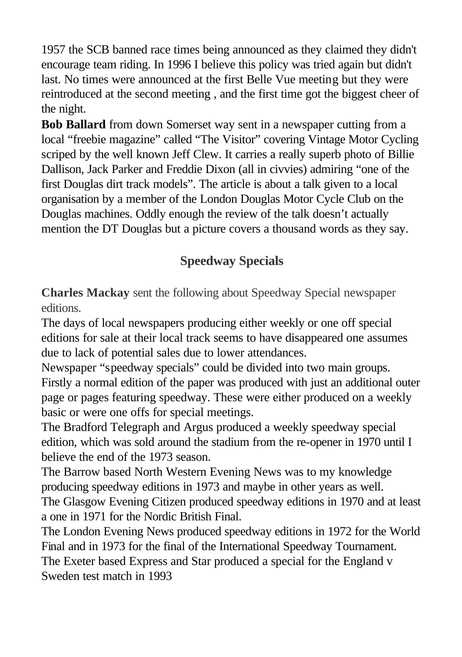1957 the SCB banned race times being announced as they claimed they didn't encourage team riding. In 1996 I believe this policy was tried again but didn't last. No times were announced at the first Belle Vue meeting but they were reintroduced at the second meeting , and the first time got the biggest cheer of the night.

**Bob Ballard** from down Somerset way sent in a newspaper cutting from a local "freebie magazine" called "The Visitor" covering Vintage Motor Cycling scriped by the well known Jeff Clew. It carries a really superb photo of Billie Dallison, Jack Parker and Freddie Dixon (all in civvies) admiring "one of the first Douglas dirt track models". The article is about a talk given to a local organisation by a member of the London Douglas Motor Cycle Club on the Douglas machines. Oddly enough the review of the talk doesn't actually mention the DT Douglas but a picture covers a thousand words as they say.

# **Speedway Specials**

**Charles Mackay** sent the following about Speedway Special newspaper editions.

The days of local newspapers producing either weekly or one off special editions for sale at their local track seems to have disappeared one assumes due to lack of potential sales due to lower attendances.

Newspaper "speedway specials" could be divided into two main groups. Firstly a normal edition of the paper was produced with just an additional outer page or pages featuring speedway. These were either produced on a weekly basic or were one offs for special meetings.

The Bradford Telegraph and Argus produced a weekly speedway special edition, which was sold around the stadium from the re-opener in 1970 until I believe the end of the 1973 season.

The Barrow based North Western Evening News was to my knowledge producing speedway editions in 1973 and maybe in other years as well.

The Glasgow Evening Citizen produced speedway editions in 1970 and at least a one in 1971 for the Nordic British Final.

The London Evening News produced speedway editions in 1972 for the World Final and in 1973 for the final of the International Speedway Tournament. The Exeter based Express and Star produced a special for the England v Sweden test match in 1993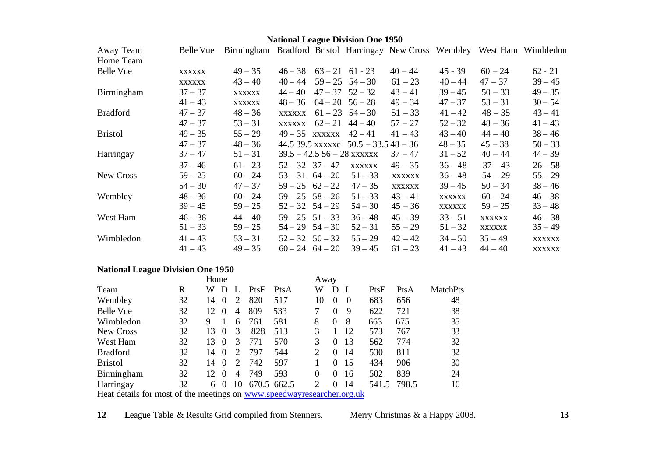### **National League Division One 1950**

| Away Team       | Belle Vue     | Birmingham Bradford Bristol Harringay New Cross Wembley West Ham Wimbledon |                               |                                       |               |               |               |               |
|-----------------|---------------|----------------------------------------------------------------------------|-------------------------------|---------------------------------------|---------------|---------------|---------------|---------------|
| Home Team       |               |                                                                            |                               |                                       |               |               |               |               |
| Belle Vue       | <b>XXXXXX</b> | $49 - 35$                                                                  | $46 - 38$ $63 - 21$ $61 - 23$ |                                       | $40 - 44$     | $45 - 39$     | $60 - 24$     | $62 - 21$     |
|                 | <b>XXXXXX</b> | $43 - 40$                                                                  | $40 - 44$                     | $59 - 25$ $54 - 30$                   | $61 - 23$     | $40 - 44$     | $47 - 37$     | $39 - 45$     |
| Birmingham      | $37 - 37$     | <b>XXXXXX</b>                                                              | $44 - 40$                     | $47 - 37$ $52 - 32$                   | $43 - 41$     | $39 - 45$     | $50 - 33$     | $49 - 35$     |
|                 | $41 - 43$     | <b>XXXXXX</b>                                                              | $48 - 36$                     | $64 - 20$ $56 - 28$                   | $49 - 34$     | $47 - 37$     | $53 - 31$     | $30 - 54$     |
| <b>Bradford</b> | $47 - 37$     | $48 - 36$                                                                  | <b>XXXXXX</b>                 | $61 - 23$ $54 - 30$                   | $51 - 33$     | $41 - 42$     | $48 - 35$     | $43 - 41$     |
|                 | $47 - 37$     | $53 - 31$                                                                  | <b>XXXXXX</b>                 | $62 - 21$ $44 - 40$                   | $57 - 27$     | $52 - 32$     | $48 - 36$     | $41 - 43$     |
| <b>Bristol</b>  | $49 - 35$     | $55 - 29$                                                                  | $49-35$ xxxxxx                | $42 - 41$                             | $41 - 43$     | $43 - 40$     | $44 - 40$     | $38 - 46$     |
|                 | $47 - 37$     | $48 - 36$                                                                  |                               | 44.5 39.5 xxxxxc $50.5 - 33.548 - 36$ |               | $48 - 35$     | $45 - 38$     | $50 - 33$     |
| Harringay       | $37 - 47$     | $51 - 31$                                                                  |                               | $39.5 - 42.556 - 28$ xxxxxx           | $37 - 47$     | $31 - 52$     | $40 - 44$     | $44 - 39$     |
|                 | $37 - 46$     | $61 - 23$                                                                  | $52 - 32$ $37 - 47$           | <b>XXXXXX</b>                         | $49 - 35$     | $36 - 48$     | $37 - 43$     | $26 - 58$     |
| New Cross       | $59 - 25$     | $60 - 24$                                                                  | $53 - 31 \quad 64 - 20$       | $51 - 33$                             | <b>XXXXXX</b> | $36 - 48$     | $54 - 29$     | $55 - 29$     |
|                 | $54 - 30$     | $47 - 37$                                                                  | $59 - 25 \quad 62 - 22$       | $47 - 35$                             | <b>XXXXXX</b> | $39 - 45$     | $50 - 34$     | $38 - 46$     |
| Wembley         | $48 - 36$     | $60 - 24$                                                                  | $59 - 25$ $58 - 26$           | $51 - 33$                             | $43 - 41$     | <b>XXXXXX</b> | $60 - 24$     | $46 - 38$     |
|                 | $39 - 45$     | $59 - 25$                                                                  | $52 - 32$ $54 - 29$           | $54 - 30$                             | $45 - 36$     | <b>XXXXXX</b> | $59 - 25$     | $33 - 48$     |
| West Ham        | $46 - 38$     | $44 - 40$                                                                  | $59 - 25$ $51 - 33$           | $36 - 48$                             | $45 - 39$     | $33 - 51$     | <b>XXXXXX</b> | $46 - 38$     |
|                 | $51 - 33$     | $59 - 25$                                                                  | $54 - 29$ $54 - 30$           | $52 - 31$                             | $55 - 29$     | $51 - 32$     | <b>XXXXXX</b> | $35 - 49$     |
| Wimbledon       | $41 - 43$     | $53 - 31$                                                                  | $52 - 32$ $50 - 32$           | $55 - 29$                             | $42 - 42$     | $34 - 50$     | $35 - 49$     | <b>XXXXXX</b> |
|                 | $41 - 43$     | $49 - 35$                                                                  | $60 - 24$ $64 - 20$           | $39 - 45$                             | $61 - 23$     | $41 - 43$     | $44 - 40$     | XXXXXX        |

### **National League Division One 1950**

|                                                                        |    | Home            |          |                |             |      |                | Away     |          |       |       |                 |  |
|------------------------------------------------------------------------|----|-----------------|----------|----------------|-------------|------|----------------|----------|----------|-------|-------|-----------------|--|
| Team                                                                   | R  | W               | D        |                | PtsF        | PtsA | W              | D        |          | PtsF  | PtsA  | <b>MatchPts</b> |  |
| Wembley                                                                | 32 | 14              | $\theta$ | 2              | 820         | 517  | 10             | 0        | $\Omega$ | 683   | 656   | 48              |  |
| <b>Belle Vue</b>                                                       | 32 | 12              | $\theta$ | $\overline{4}$ | 809         | 533  | 7              | 0        | 9        | 622   | 721   | 38              |  |
| Wimbledon                                                              | 32 | 9               |          | 6              | 761         | 581  | 8              | $\theta$ | 8        | 663   | 675   | 35              |  |
| New Cross                                                              | 32 | 13              | $\theta$ | 3              | 828         | 513  | 3              |          | 12       | 573   | 767   | 33              |  |
| West Ham                                                               | 32 | 13              | $\Omega$ | 3              | 771         | 570  | 3              | 0        | 13       | 562   | 774   | 32              |  |
| <b>Bradford</b>                                                        | 32 | 14              | $\Omega$ | 2              | 797         | 544  | $\overline{c}$ | 0        | 14       | 530   | 811   | 32              |  |
| <b>Bristol</b>                                                         | 32 | 14              | $\theta$ | 2              | 742         | 597  |                | 0        | 15       | 434   | 906   | 30              |  |
| Birmingham                                                             | 32 | 12 <sub>1</sub> | $\Omega$ | 4              | 749         | 593  | $\theta$       | $\Omega$ | 16       | 502   | 839   | 24              |  |
| Harringay                                                              | 32 | 6               | $\Omega$ | 10             | 670.5 662.5 |      | 2              | 0        | 14       | 541.5 | 798.5 | 16              |  |
| Heat details for most of the meetings on www.speedwayresearcher.org.uk |    |                 |          |                |             |      |                |          |          |       |       |                 |  |

**12 L**eague Table & Results Grid compiled from Stenners. Merry Christmas & a Happy 2008. **13**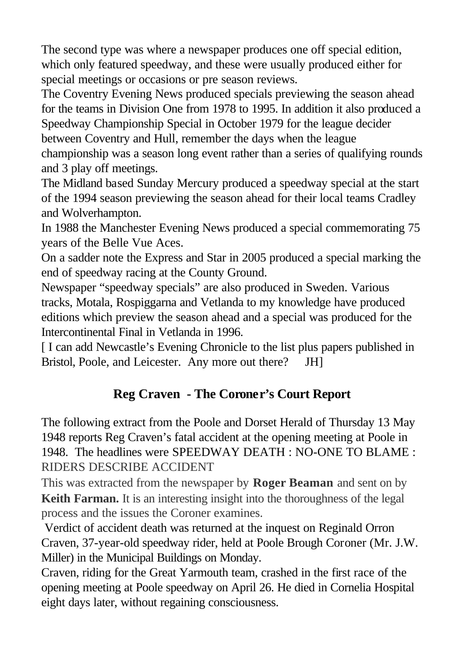The second type was where a newspaper produces one off special edition, which only featured speedway, and these were usually produced either for special meetings or occasions or pre season reviews.

The Coventry Evening News produced specials previewing the season ahead for the teams in Division One from 1978 to 1995. In addition it also produced a Speedway Championship Special in October 1979 for the league decider between Coventry and Hull, remember the days when the league championship was a season long event rather than a series of qualifying rounds and 3 play off meetings.

The Midland based Sunday Mercury produced a speedway special at the start of the 1994 season previewing the season ahead for their local teams Cradley and Wolverhampton.

In 1988 the Manchester Evening News produced a special commemorating 75 years of the Belle Vue Aces.

On a sadder note the Express and Star in 2005 produced a special marking the end of speedway racing at the County Ground.

Newspaper "speedway specials" are also produced in Sweden. Various tracks, Motala, Rospiggarna and Vetlanda to my knowledge have produced editions which preview the season ahead and a special was produced for the Intercontinental Final in Vetlanda in 1996.

[ I can add Newcastle's Evening Chronicle to the list plus papers published in Bristol, Poole, and Leicester. Any more out there? JH]

## **Reg Craven - The Coroner's Court Report**

The following extract from the Poole and Dorset Herald of Thursday 13 May 1948 reports Reg Craven's fatal accident at the opening meeting at Poole in 1948. The headlines were SPEEDWAY DEATH : NO-ONE TO BLAME : RIDERS DESCRIBE ACCIDENT

This was extracted from the newspaper by **Roger Beaman** and sent on by **Keith Farman.** It is an interesting insight into the thoroughness of the legal process and the issues the Coroner examines.

Verdict of accident death was returned at the inquest on Reginald Orron Craven, 37-year-old speedway rider, held at Poole Brough Coroner (Mr. J.W. Miller) in the Municipal Buildings on Monday.

Craven, riding for the Great Yarmouth team, crashed in the first race of the opening meeting at Poole speedway on April 26. He died in Cornelia Hospital eight days later, without regaining consciousness.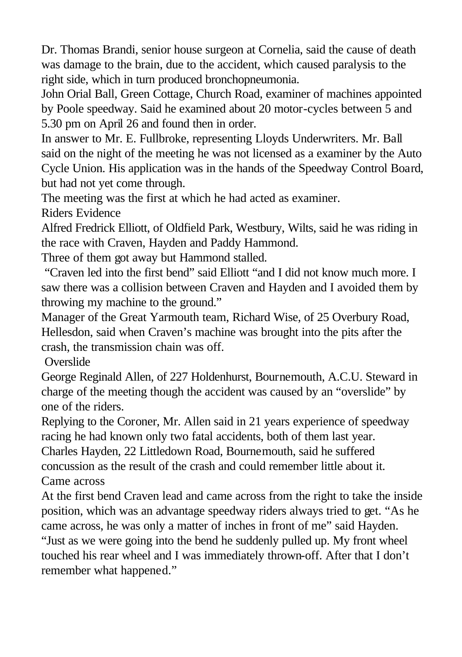Dr. Thomas Brandi, senior house surgeon at Cornelia, said the cause of death was damage to the brain, due to the accident, which caused paralysis to the right side, which in turn produced bronchopneumonia.

John Orial Ball, Green Cottage, Church Road, examiner of machines appointed by Poole speedway. Said he examined about 20 motor-cycles between 5 and 5.30 pm on April 26 and found then in order.

In answer to Mr. E. Fullbroke, representing Lloyds Underwriters. Mr. Ball said on the night of the meeting he was not licensed as a examiner by the Auto Cycle Union. His application was in the hands of the Speedway Control Board, but had not yet come through.

The meeting was the first at which he had acted as examiner. Riders Evidence

Alfred Fredrick Elliott, of Oldfield Park, Westbury, Wilts, said he was riding in the race with Craven, Hayden and Paddy Hammond.

Three of them got away but Hammond stalled.

"Craven led into the first bend" said Elliott "and I did not know much more. I saw there was a collision between Craven and Hayden and I avoided them by throwing my machine to the ground."

Manager of the Great Yarmouth team, Richard Wise, of 25 Overbury Road, Hellesdon, said when Craven's machine was brought into the pits after the crash, the transmission chain was off.

**Overslide** 

George Reginald Allen, of 227 Holdenhurst, Bournemouth, A.C.U. Steward in charge of the meeting though the accident was caused by an "overslide" by one of the riders.

Replying to the Coroner, Mr. Allen said in 21 years experience of speedway racing he had known only two fatal accidents, both of them last year. Charles Hayden, 22 Littledown Road, Bournemouth, said he suffered concussion as the result of the crash and could remember little about it. Came across

At the first bend Craven lead and came across from the right to take the inside position, which was an advantage speedway riders always tried to get. "As he came across, he was only a matter of inches in front of me" said Hayden.

"Just as we were going into the bend he suddenly pulled up. My front wheel touched his rear wheel and I was immediately thrown-off. After that I don't remember what happened."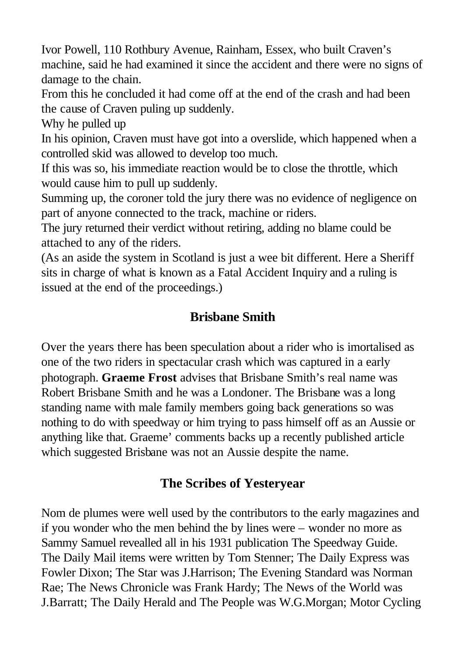Ivor Powell, 110 Rothbury Avenue, Rainham, Essex, who built Craven's machine, said he had examined it since the accident and there were no signs of damage to the chain.

From this he concluded it had come off at the end of the crash and had been the cause of Craven puling up suddenly.

Why he pulled up

In his opinion, Craven must have got into a overslide, which happened when a controlled skid was allowed to develop too much.

If this was so, his immediate reaction would be to close the throttle, which would cause him to pull up suddenly.

Summing up, the coroner told the jury there was no evidence of negligence on part of anyone connected to the track, machine or riders.

The jury returned their verdict without retiring, adding no blame could be attached to any of the riders.

(As an aside the system in Scotland is just a wee bit different. Here a Sheriff sits in charge of what is known as a Fatal Accident Inquiry and a ruling is issued at the end of the proceedings.)

# **Brisbane Smith**

Over the years there has been speculation about a rider who is imortalised as one of the two riders in spectacular crash which was captured in a early photograph. **Graeme Frost** advises that Brisbane Smith's real name was Robert Brisbane Smith and he was a Londoner. The Brisbane was a long standing name with male family members going back generations so was nothing to do with speedway or him trying to pass himself off as an Aussie or anything like that. Graeme' comments backs up a recently published article which suggested Brisbane was not an Aussie despite the name.

## **The Scribes of Yesteryear**

Nom de plumes were well used by the contributors to the early magazines and if you wonder who the men behind the by lines were – wonder no more as Sammy Samuel revealled all in his 1931 publication The Speedway Guide. The Daily Mail items were written by Tom Stenner; The Daily Express was Fowler Dixon; The Star was J.Harrison; The Evening Standard was Norman Rae; The News Chronicle was Frank Hardy; The News of the World was J.Barratt; The Daily Herald and The People was W.G.Morgan; Motor Cycling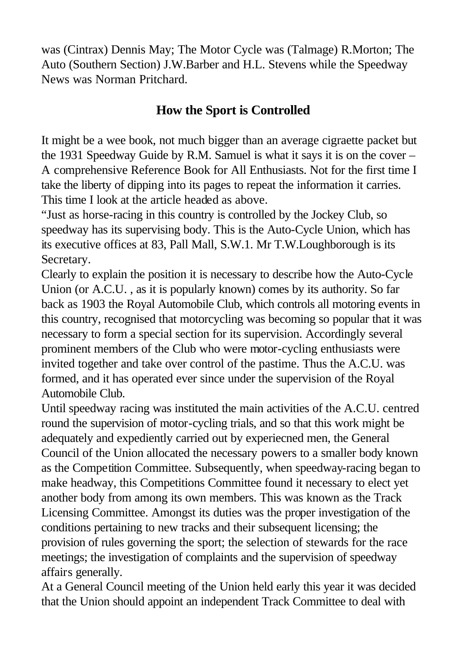was (Cintrax) Dennis May; The Motor Cycle was (Talmage) R.Morton; The Auto (Southern Section) J.W.Barber and H.L. Stevens while the Speedway News was Norman Pritchard.

### **How the Sport is Controlled**

It might be a wee book, not much bigger than an average cigraette packet but the 1931 Speedway Guide by R.M. Samuel is what it says it is on the cover – A comprehensive Reference Book for All Enthusiasts. Not for the first time I take the liberty of dipping into its pages to repeat the information it carries. This time I look at the article headed as above.

"Just as horse-racing in this country is controlled by the Jockey Club, so speedway has its supervising body. This is the Auto-Cycle Union, which has its executive offices at 83, Pall Mall, S.W.1. Mr T.W.Loughborough is its Secretary.

Clearly to explain the position it is necessary to describe how the Auto-Cycle Union (or A.C.U. , as it is popularly known) comes by its authority. So far back as 1903 the Royal Automobile Club, which controls all motoring events in this country, recognised that motorcycling was becoming so popular that it was necessary to form a special section for its supervision. Accordingly several prominent members of the Club who were motor-cycling enthusiasts were invited together and take over control of the pastime. Thus the A.C.U. was formed, and it has operated ever since under the supervision of the Royal Automobile Club.

Until speedway racing was instituted the main activities of the A.C.U. centred round the supervision of motor-cycling trials, and so that this work might be adequately and expediently carried out by experiecned men, the General Council of the Union allocated the necessary powers to a smaller body known as the Competition Committee. Subsequently, when speedway-racing began to make headway, this Competitions Committee found it necessary to elect yet another body from among its own members. This was known as the Track Licensing Committee. Amongst its duties was the proper investigation of the conditions pertaining to new tracks and their subsequent licensing; the provision of rules governing the sport; the selection of stewards for the race meetings; the investigation of complaints and the supervision of speedway affairs generally.

At a General Council meeting of the Union held early this year it was decided that the Union should appoint an independent Track Committee to deal with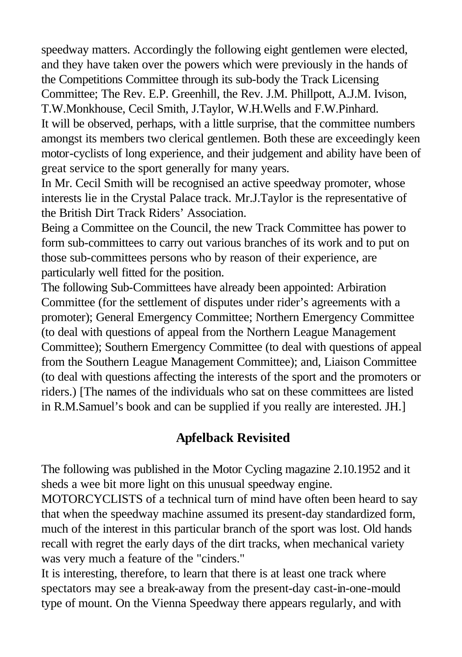speedway matters. Accordingly the following eight gentlemen were elected, and they have taken over the powers which were previously in the hands of the Competitions Committee through its sub-body the Track Licensing Committee; The Rev. E.P. Greenhill, the Rev. J.M. Phillpott, A.J.M. Ivison, T.W.Monkhouse, Cecil Smith, J.Taylor, W.H.Wells and F.W.Pinhard.

It will be observed, perhaps, with a little surprise, that the committee numbers amongst its members two clerical gentlemen. Both these are exceedingly keen motor-cyclists of long experience, and their judgement and ability have been of great service to the sport generally for many years.

In Mr. Cecil Smith will be recognised an active speedway promoter, whose interests lie in the Crystal Palace track. Mr.J.Taylor is the representative of the British Dirt Track Riders' Association.

Being a Committee on the Council, the new Track Committee has power to form sub-committees to carry out various branches of its work and to put on those sub-committees persons who by reason of their experience, are particularly well fitted for the position.

The following Sub-Committees have already been appointed: Arbiration Committee (for the settlement of disputes under rider's agreements with a promoter); General Emergency Committee; Northern Emergency Committee (to deal with questions of appeal from the Northern League Management Committee); Southern Emergency Committee (to deal with questions of appeal from the Southern League Management Committee); and, Liaison Committee (to deal with questions affecting the interests of the sport and the promoters or riders.) [The names of the individuals who sat on these committees are listed in R.M.Samuel's book and can be supplied if you really are interested. JH.]

### **Apfelback Revisited**

The following was published in the Motor Cycling magazine 2.10.1952 and it sheds a wee bit more light on this unusual speedway engine.

MOTORCYCLISTS of a technical turn of mind have often been heard to say that when the speedway machine assumed its present-day standardized form, much of the interest in this particular branch of the sport was lost. Old hands recall with regret the early days of the dirt tracks, when mechanical variety was very much a feature of the "cinders."

It is interesting, therefore, to learn that there is at least one track where spectators may see a break-away from the present-day cast-in-one-mould type of mount. On the Vienna Speedway there appears regularly, and with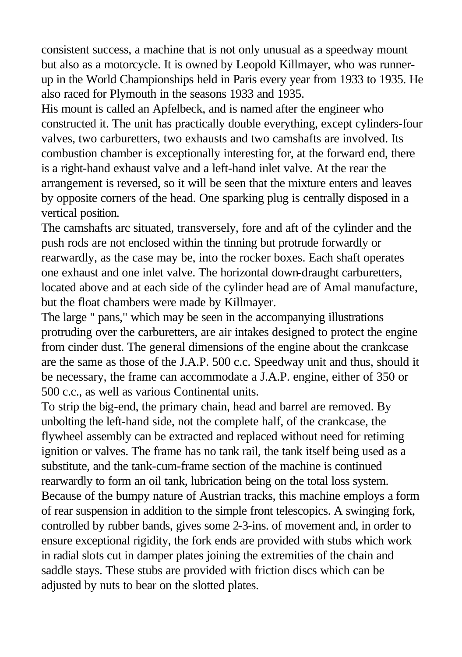consistent success, a machine that is not only unusual as a speedway mount but also as a motorcycle. It is owned by Leopold Killmayer, who was runnerup in the World Championships held in Paris every year from 1933 to 1935. He also raced for Plymouth in the seasons 1933 and 1935.

His mount is called an Apfelbeck, and is named after the engineer who constructed it. The unit has practically double everything, except cylinders-four valves, two carburetters, two exhausts and two camshafts are involved. Its combustion chamber is exceptionally interesting for, at the forward end, there is a right-hand exhaust valve and a left-hand inlet valve. At the rear the arrangement is reversed, so it will be seen that the mixture enters and leaves by opposite corners of the head. One sparking plug is centrally disposed in a vertical position.

The camshafts arc situated, transversely, fore and aft of the cylinder and the push rods are not enclosed within the tinning but protrude forwardly or rearwardly, as the case may be, into the rocker boxes. Each shaft operates one exhaust and one inlet valve. The horizontal down-draught carburetters, located above and at each side of the cylinder head are of Amal manufacture, but the float chambers were made by Killmayer.

The large " pans," which may be seen in the accompanying illustrations protruding over the carburetters, are air intakes designed to protect the engine from cinder dust. The general dimensions of the engine about the crankcase are the same as those of the J.A.P. 500 c.c. Speedway unit and thus, should it be necessary, the frame can accommodate a J.A.P. engine, either of 350 or 500 c.c., as well as various Continental units.

To strip the big-end, the primary chain, head and barrel are removed. By unbolting the left-hand side, not the complete half, of the crankcase, the flywheel assembly can be extracted and replaced without need for retiming ignition or valves. The frame has no tank rail, the tank itself being used as a substitute, and the tank-cum-frame section of the machine is continued rearwardly to form an oil tank, lubrication being on the total loss system. Because of the bumpy nature of Austrian tracks, this machine employs a form of rear suspension in addition to the simple front telescopics. A swinging fork, controlled by rubber bands, gives some 2-3-ins. of movement and, in order to ensure exceptional rigidity, the fork ends are provided with stubs which work in radial slots cut in damper plates joining the extremities of the chain and saddle stays. These stubs are provided with friction discs which can be adjusted by nuts to bear on the slotted plates.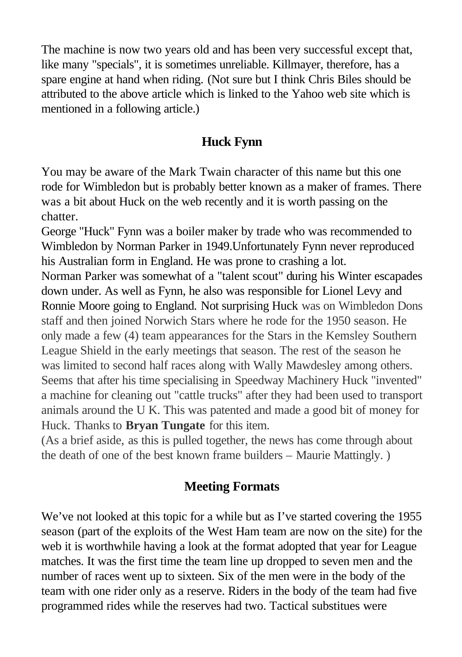The machine is now two years old and has been very successful except that, like many "specials", it is sometimes unreliable. Killmayer, therefore, has a spare engine at hand when riding. (Not sure but I think Chris Biles should be attributed to the above article which is linked to the Yahoo web site which is mentioned in a following article.)

#### **Huck Fynn**

You may be aware of the Mark Twain character of this name but this one rode for Wimbledon but is probably better known as a maker of frames. There was a bit about Huck on the web recently and it is worth passing on the chatter.

George "Huck" Fynn was a boiler maker by trade who was recommended to Wimbledon by Norman Parker in 1949.Unfortunately Fynn never reproduced his Australian form in England. He was prone to crashing a lot.

Norman Parker was somewhat of a "talent scout" during his Winter escapades down under. As well as Fynn, he also was responsible for Lionel Levy and Ronnie Moore going to England. Not surprising Huck was on Wimbledon Dons staff and then joined Norwich Stars where he rode for the 1950 season. He only made a few (4) team appearances for the Stars in the Kemsley Southern League Shield in the early meetings that season. The rest of the season he was limited to second half races along with Wally Mawdesley among others. Seems that after his time specialising in Speedway Machinery Huck "invented" a machine for cleaning out "cattle trucks" after they had been used to transport animals around the U K. This was patented and made a good bit of money for Huck. Thanks to **Bryan Tungate** for this item.

(As a brief aside, as this is pulled together, the news has come through about the death of one of the best known frame builders – Maurie Mattingly. )

### **Meeting Formats**

We've not looked at this topic for a while but as I've started covering the 1955 season (part of the exploits of the West Ham team are now on the site) for the web it is worthwhile having a look at the format adopted that year for League matches. It was the first time the team line up dropped to seven men and the number of races went up to sixteen. Six of the men were in the body of the team with one rider only as a reserve. Riders in the body of the team had five programmed rides while the reserves had two. Tactical substitues were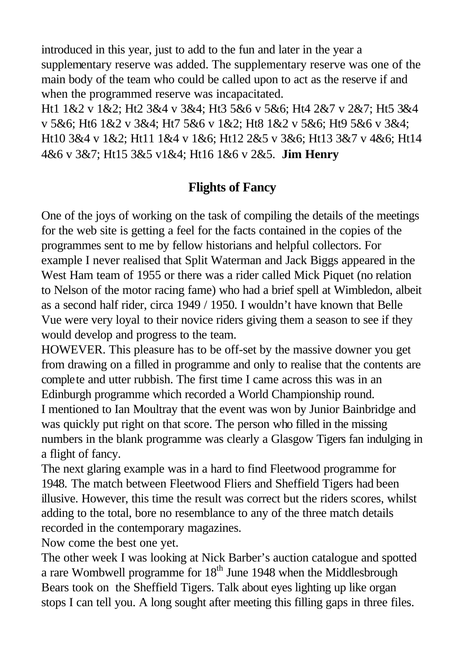introduced in this year, just to add to the fun and later in the year a supplementary reserve was added. The supplementary reserve was one of the main body of the team who could be called upon to act as the reserve if and when the programmed reserve was incapacitated.

Ht1 1&2 v 1&2; Ht2 3&4 v 3&4; Ht3 5&6 v 5&6; Ht4 2&7 v 2&7; Ht5 3&4 v 5&6; Ht6 1&2 v 3&4; Ht7 5&6 v 1&2; Ht8 1&2 v 5&6; Ht9 5&6 v 3&4; Ht10 3&4 v 1&2; Ht11 1&4 v 1&6; Ht12 2&5 v 3&6; Ht13 3&7 v 4&6; Ht14 4&6 v 3&7; Ht15 3&5 v1&4; Ht16 1&6 v 2&5. **Jim Henry**

### **Flights of Fancy**

One of the joys of working on the task of compiling the details of the meetings for the web site is getting a feel for the facts contained in the copies of the programmes sent to me by fellow historians and helpful collectors. For example I never realised that Split Waterman and Jack Biggs appeared in the West Ham team of 1955 or there was a rider called Mick Piquet (no relation to Nelson of the motor racing fame) who had a brief spell at Wimbledon, albeit as a second half rider, circa 1949 / 1950. I wouldn't have known that Belle Vue were very loyal to their novice riders giving them a season to see if they would develop and progress to the team.

HOWEVER. This pleasure has to be off-set by the massive downer you get from drawing on a filled in programme and only to realise that the contents are complete and utter rubbish. The first time I came across this was in an Edinburgh programme which recorded a World Championship round. I mentioned to Ian Moultray that the event was won by Junior Bainbridge and was quickly put right on that score. The person who filled in the missing numbers in the blank programme was clearly a Glasgow Tigers fan indulging in a flight of fancy.

The next glaring example was in a hard to find Fleetwood programme for 1948. The match between Fleetwood Fliers and Sheffield Tigers had been illusive. However, this time the result was correct but the riders scores, whilst adding to the total, bore no resemblance to any of the three match details recorded in the contemporary magazines.

Now come the best one yet.

The other week I was looking at Nick Barber's auction catalogue and spotted a rare Wombwell programme for  $18<sup>th</sup>$  June 1948 when the Middlesbrough Bears took on the Sheffield Tigers. Talk about eyes lighting up like organ stops I can tell you. A long sought after meeting this filling gaps in three files.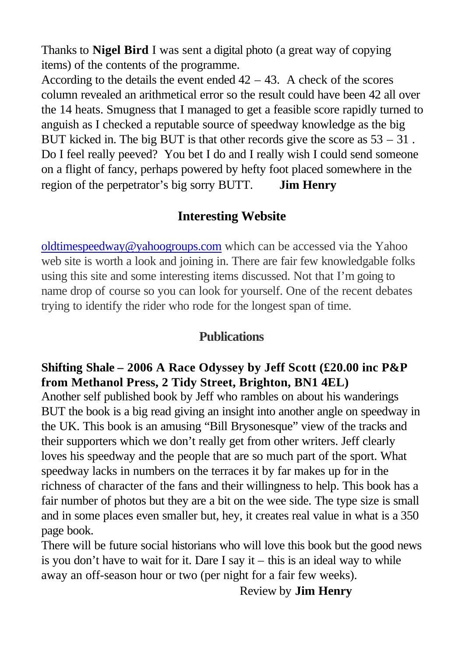Thanks to **Nigel Bird** I was sent a digital photo (a great way of copying items) of the contents of the programme.

According to the details the event ended  $42 - 43$ . A check of the scores column revealed an arithmetical error so the result could have been 42 all over the 14 heats. Smugness that I managed to get a feasible score rapidly turned to anguish as I checked a reputable source of speedway knowledge as the big BUT kicked in. The big BUT is that other records give the score as  $53 - 31$ . Do I feel really peeved? You bet I do and I really wish I could send someone on a flight of fancy, perhaps powered by hefty foot placed somewhere in the region of the perpetrator's big sorry BUTT. **Jim Henry**

### **Interesting Website**

oldtimespeedway@yahoogroups.com which can be accessed via the Yahoo web site is worth a look and joining in. There are fair few knowledgable folks using this site and some interesting items discussed. Not that I'm going to name drop of course so you can look for yourself. One of the recent debates trying to identify the rider who rode for the longest span of time.

### **Publications**

### **Shifting Shale – 2006 A Race Odyssey by Jeff Scott (£20.00 inc P&P from Methanol Press, 2 Tidy Street, Brighton, BN1 4EL)**

Another self published book by Jeff who rambles on about his wanderings BUT the book is a big read giving an insight into another angle on speedway in the UK. This book is an amusing "Bill Brysonesque" view of the tracks and their supporters which we don't really get from other writers. Jeff clearly loves his speedway and the people that are so much part of the sport. What speedway lacks in numbers on the terraces it by far makes up for in the richness of character of the fans and their willingness to help. This book has a fair number of photos but they are a bit on the wee side. The type size is small and in some places even smaller but, hey, it creates real value in what is a 350 page book.

There will be future social historians who will love this book but the good news is you don't have to wait for it. Dare I say it  $-$  this is an ideal way to while away an off-season hour or two (per night for a fair few weeks).

Review by **Jim Henry**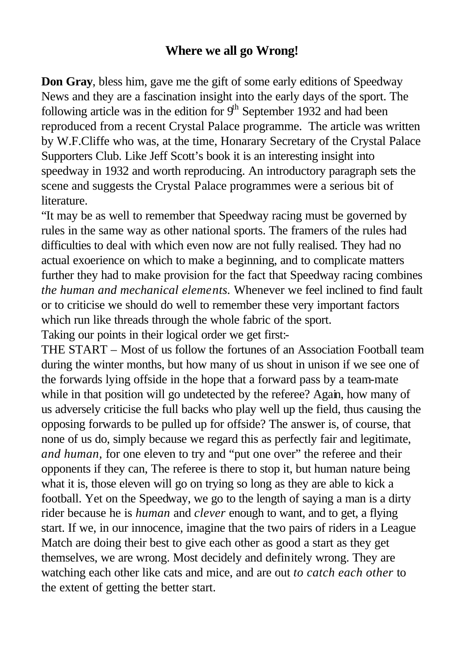### **Where we all go Wrong!**

**Don Gray**, bless him, gave me the gift of some early editions of Speedway News and they are a fascination insight into the early days of the sport. The following article was in the edition for  $9<sup>th</sup>$  September 1932 and had been reproduced from a recent Crystal Palace programme. The article was written by W.F.Cliffe who was, at the time, Honarary Secretary of the Crystal Palace Supporters Club. Like Jeff Scott's book it is an interesting insight into speedway in 1932 and worth reproducing. An introductory paragraph sets the scene and suggests the Crystal Palace programmes were a serious bit of **literature** 

"It may be as well to remember that Speedway racing must be governed by rules in the same way as other national sports. The framers of the rules had difficulties to deal with which even now are not fully realised. They had no actual exoerience on which to make a beginning, and to complicate matters further they had to make provision for the fact that Speedway racing combines *the human and mechanical elements.* Whenever we feel inclined to find fault or to criticise we should do well to remember these very important factors which run like threads through the whole fabric of the sport. Taking our points in their logical order we get first:-

THE START – Most of us follow the fortunes of an Association Football team during the winter months, but how many of us shout in unison if we see one of the forwards lying offside in the hope that a forward pass by a team-mate while in that position will go undetected by the referee? Again, how many of us adversely criticise the full backs who play well up the field, thus causing the opposing forwards to be pulled up for offside? The answer is, of course, that none of us do, simply because we regard this as perfectly fair and legitimate, *and human,* for one eleven to try and "put one over" the referee and their opponents if they can, The referee is there to stop it, but human nature being what it is, those eleven will go on trying so long as they are able to kick a football. Yet on the Speedway, we go to the length of saying a man is a dirty rider because he is *human* and *clever* enough to want, and to get, a flying start. If we, in our innocence, imagine that the two pairs of riders in a League Match are doing their best to give each other as good a start as they get themselves, we are wrong. Most decidely and definitely wrong. They are watching each other like cats and mice, and are out *to catch each other* to the extent of getting the better start.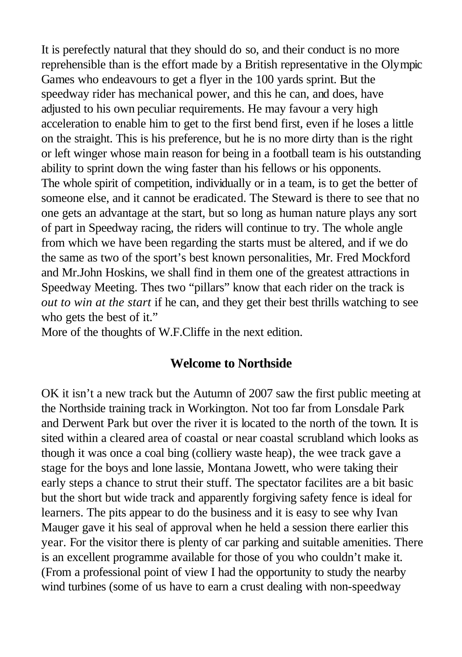It is perefectly natural that they should do so, and their conduct is no more reprehensible than is the effort made by a British representative in the Olympic Games who endeavours to get a flyer in the 100 yards sprint. But the speedway rider has mechanical power, and this he can, and does, have adjusted to his own peculiar requirements. He may favour a very high acceleration to enable him to get to the first bend first, even if he loses a little on the straight. This is his preference, but he is no more dirty than is the right or left winger whose main reason for being in a football team is his outstanding ability to sprint down the wing faster than his fellows or his opponents. The whole spirit of competition, individually or in a team, is to get the better of someone else, and it cannot be eradicated. The Steward is there to see that no one gets an advantage at the start, but so long as human nature plays any sort of part in Speedway racing, the riders will continue to try. The whole angle from which we have been regarding the starts must be altered, and if we do the same as two of the sport's best known personalities, Mr. Fred Mockford and Mr.John Hoskins, we shall find in them one of the greatest attractions in Speedway Meeting. Thes two "pillars" know that each rider on the track is *out to win at the start* if he can, and they get their best thrills watching to see who gets the best of it."

More of the thoughts of W.F.Cliffe in the next edition.

#### **Welcome to Northside**

OK it isn't a new track but the Autumn of 2007 saw the first public meeting at the Northside training track in Workington. Not too far from Lonsdale Park and Derwent Park but over the river it is located to the north of the town. It is sited within a cleared area of coastal or near coastal scrubland which looks as though it was once a coal bing (colliery waste heap), the wee track gave a stage for the boys and lone lassie, Montana Jowett, who were taking their early steps a chance to strut their stuff. The spectator facilites are a bit basic but the short but wide track and apparently forgiving safety fence is ideal for learners. The pits appear to do the business and it is easy to see why Ivan Mauger gave it his seal of approval when he held a session there earlier this year. For the visitor there is plenty of car parking and suitable amenities. There is an excellent programme available for those of you who couldn't make it. (From a professional point of view I had the opportunity to study the nearby wind turbines (some of us have to earn a crust dealing with non-speedway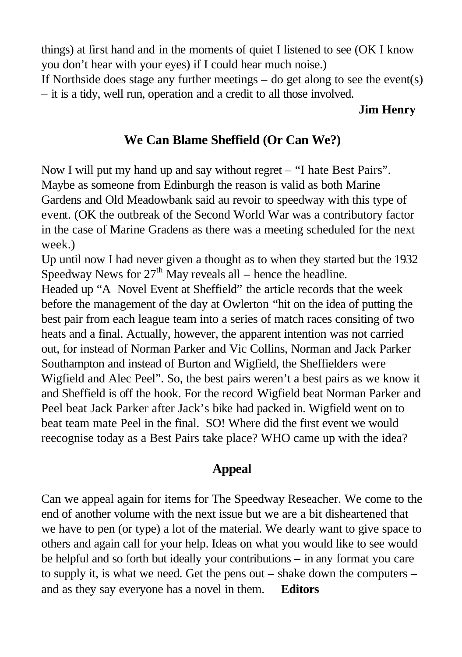things) at first hand and in the moments of quiet I listened to see (OK I know you don't hear with your eyes) if I could hear much noise.)

If Northside does stage any further meetings – do get along to see the event(s) – it is a tidy, well run, operation and a credit to all those involved.

#### **Jim Henry**

### **We Can Blame Sheffield (Or Can We?)**

Now I will put my hand up and say without regret – "I hate Best Pairs". Maybe as someone from Edinburgh the reason is valid as both Marine Gardens and Old Meadowbank said au revoir to speedway with this type of event. (OK the outbreak of the Second World War was a contributory factor in the case of Marine Gradens as there was a meeting scheduled for the next week.)

Up until now I had never given a thought as to when they started but the 1932 Speedway News for  $27<sup>th</sup>$  May reveals all – hence the headline.

Headed up "A Novel Event at Sheffield" the article records that the week before the management of the day at Owlerton "hit on the idea of putting the best pair from each league team into a series of match races consiting of two heats and a final. Actually, however, the apparent intention was not carried out, for instead of Norman Parker and Vic Collins, Norman and Jack Parker Southampton and instead of Burton and Wigfield, the Sheffielders were Wigfield and Alec Peel". So, the best pairs weren't a best pairs as we know it and Sheffield is off the hook. For the record Wigfield beat Norman Parker and Peel beat Jack Parker after Jack's bike had packed in. Wigfield went on to beat team mate Peel in the final. SO! Where did the first event we would reecognise today as a Best Pairs take place? WHO came up with the idea?

### **Appeal**

Can we appeal again for items for The Speedway Reseacher. We come to the end of another volume with the next issue but we are a bit disheartened that we have to pen (or type) a lot of the material. We dearly want to give space to others and again call for your help. Ideas on what you would like to see would be helpful and so forth but ideally your contributions – in any format you care to supply it, is what we need. Get the pens out – shake down the computers – and as they say everyone has a novel in them. **Editors**